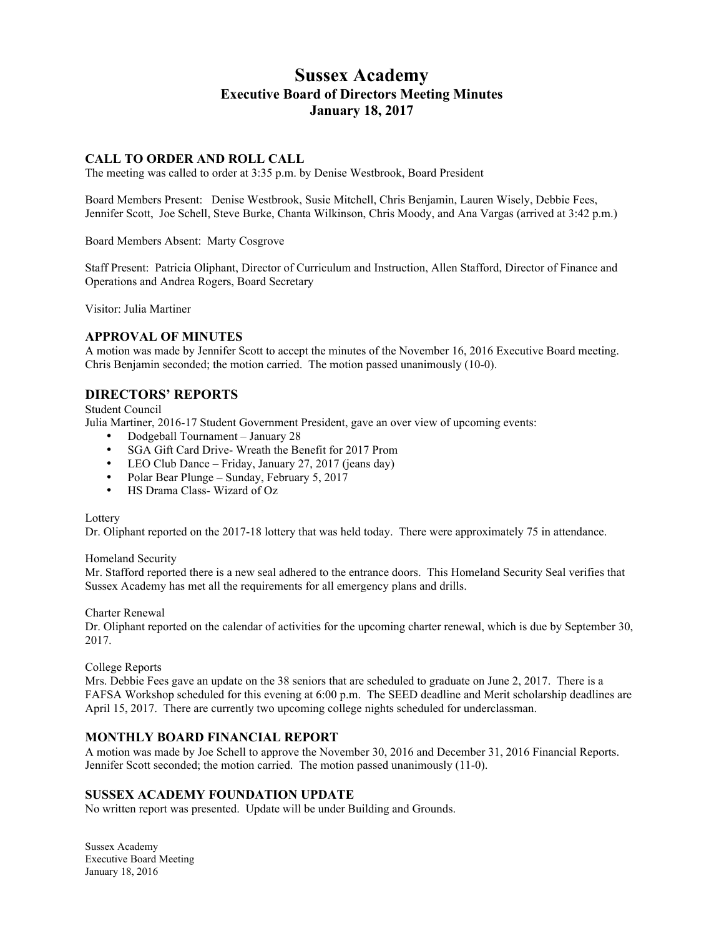# **Sussex Academy Executive Board of Directors Meeting Minutes January 18, 2017**

### **CALL TO ORDER AND ROLL CALL**

The meeting was called to order at 3:35 p.m. by Denise Westbrook, Board President

Board Members Present: Denise Westbrook, Susie Mitchell, Chris Benjamin, Lauren Wisely, Debbie Fees, Jennifer Scott, Joe Schell, Steve Burke, Chanta Wilkinson, Chris Moody, and Ana Vargas (arrived at 3:42 p.m.)

Board Members Absent: Marty Cosgrove

Staff Present: Patricia Oliphant, Director of Curriculum and Instruction, Allen Stafford, Director of Finance and Operations and Andrea Rogers, Board Secretary

Visitor: Julia Martiner

#### **APPROVAL OF MINUTES**

A motion was made by Jennifer Scott to accept the minutes of the November 16, 2016 Executive Board meeting. Chris Benjamin seconded; the motion carried. The motion passed unanimously (10-0).

## **DIRECTORS' REPORTS**

Student Council

Julia Martiner, 2016-17 Student Government President, gave an over view of upcoming events:

- Dodgeball Tournament January 28
- SGA Gift Card Drive- Wreath the Benefit for 2017 Prom
- LEO Club Dance Friday, January 27, 2017 (jeans day)
- Polar Bear Plunge Sunday, February 5, 2017
- HS Drama Class-Wizard of Oz

#### **Lottery**

Dr. Oliphant reported on the 2017-18 lottery that was held today. There were approximately 75 in attendance.

#### Homeland Security

Mr. Stafford reported there is a new seal adhered to the entrance doors. This Homeland Security Seal verifies that Sussex Academy has met all the requirements for all emergency plans and drills.

Charter Renewal

Dr. Oliphant reported on the calendar of activities for the upcoming charter renewal, which is due by September 30, 2017.

#### College Reports

Mrs. Debbie Fees gave an update on the 38 seniors that are scheduled to graduate on June 2, 2017. There is a FAFSA Workshop scheduled for this evening at 6:00 p.m. The SEED deadline and Merit scholarship deadlines are April 15, 2017. There are currently two upcoming college nights scheduled for underclassman.

#### **MONTHLY BOARD FINANCIAL REPORT**

A motion was made by Joe Schell to approve the November 30, 2016 and December 31, 2016 Financial Reports. Jennifer Scott seconded; the motion carried. The motion passed unanimously (11-0).

#### **SUSSEX ACADEMY FOUNDATION UPDATE**

No written report was presented. Update will be under Building and Grounds.

Sussex Academy Executive Board Meeting January 18, 2016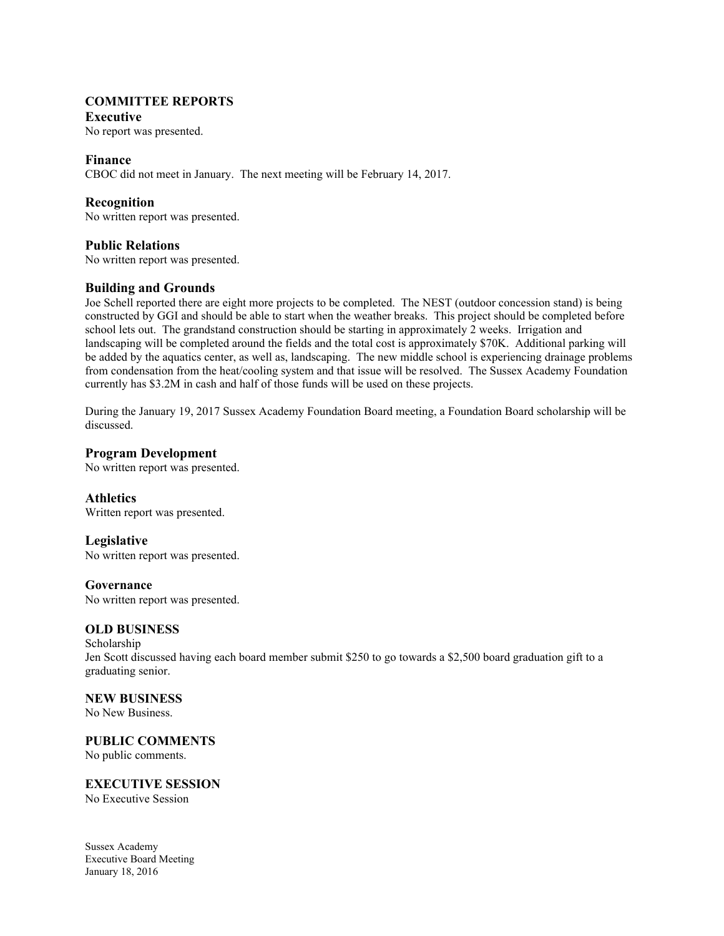## **COMMITTEE REPORTS**

## **Executive**

No report was presented.

## **Finance**

CBOC did not meet in January. The next meeting will be February 14, 2017.

## **Recognition**

No written report was presented.

### **Public Relations**

No written report was presented.

## **Building and Grounds**

Joe Schell reported there are eight more projects to be completed. The NEST (outdoor concession stand) is being constructed by GGI and should be able to start when the weather breaks. This project should be completed before school lets out. The grandstand construction should be starting in approximately 2 weeks. Irrigation and landscaping will be completed around the fields and the total cost is approximately \$70K. Additional parking will be added by the aquatics center, as well as, landscaping. The new middle school is experiencing drainage problems from condensation from the heat/cooling system and that issue will be resolved. The Sussex Academy Foundation currently has \$3.2M in cash and half of those funds will be used on these projects.

During the January 19, 2017 Sussex Academy Foundation Board meeting, a Foundation Board scholarship will be discussed.

### **Program Development**

No written report was presented.

## **Athletics**

Written report was presented.

## **Legislative**

No written report was presented.

### **Governance**

No written report was presented.

#### **OLD BUSINESS**

Scholarship Jen Scott discussed having each board member submit \$250 to go towards a \$2,500 board graduation gift to a graduating senior.

#### **NEW BUSINESS**

No New Business.

# **PUBLIC COMMENTS**

No public comments.

## **EXECUTIVE SESSION**

No Executive Session

Sussex Academy Executive Board Meeting January 18, 2016